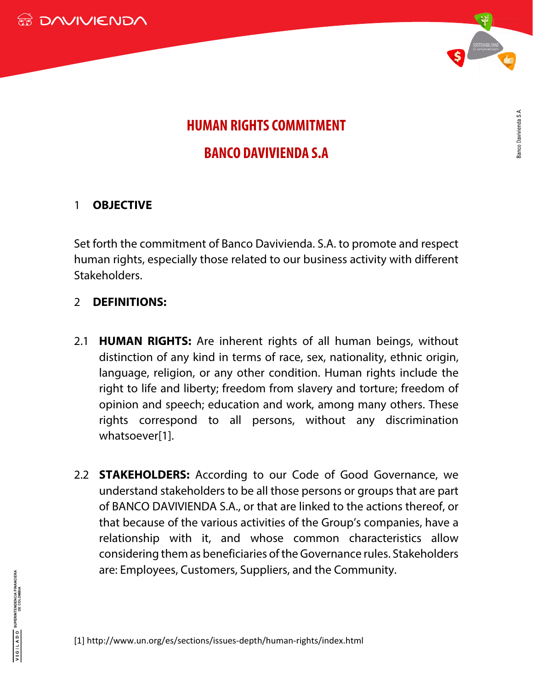



## **HUMAN RIGHTS COMMITMENT BANCO DAVIVIENDA S.A**

## 1 **OBJECTIVE**

Set forth the commitment of Banco Davivienda. S.A. to promote and respect human rights, especially those related to our business activity with different Stakeholders.

## 2 **DEFINITIONS:**

- 2.1 **HUMAN RIGHTS:** Are inherent rights of all human beings, without distinction of any kind in terms of race, sex, nationality, ethnic origin, language, religion, or any other condition. Human rights include the right to life and liberty; freedom from slavery and torture; freedom of opinion and speech; education and work, among many others. These rights correspond to all persons, without any discrimination whatsoever[1].
- 2.2 **STAKEHOLDERS:** According to our Code of Good Governance, we understand stakeholders to be all those persons or groups that are part of BANCO DAVIVIENDA S.A., or that are linked to the actions thereof, or that because of the various activities of the Group's companies, have a relationship with it, and whose common characteristics allow considering them as beneficiaries of the Governance rules. Stakeholders are: Employees, Customers, Suppliers, and the Community.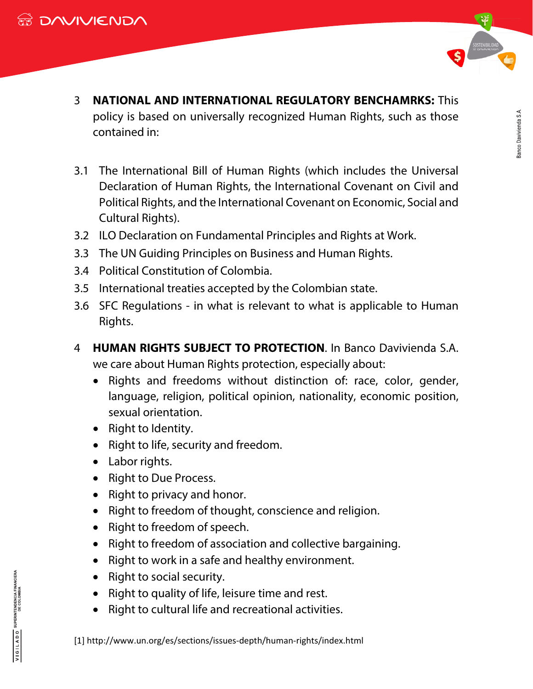

**Sanco Davivienda S.A.** 

- 3 **NATIONAL AND INTERNATIONAL REGULATORY BENCHAMRKS:** This policy is based on universally recognized Human Rights, such as those contained in:
- 3.1 The International Bill of Human Rights (which includes the Universal Declaration of Human Rights, the International Covenant on Civil and Political Rights, and the International Covenant on Economic, Social and Cultural Rights).
- 3.2 ILO Declaration on Fundamental Principles and Rights at Work.
- 3.3 The UN Guiding Principles on Business and Human Rights.
- 3.4 Political Constitution of Colombia.
- 3.5 International treaties accepted by the Colombian state.
- 3.6 SFC Regulations in what is relevant to what is applicable to Human Rights.
- 4 **HUMAN RIGHTS SUBJECT TO PROTECTION**. In Banco Davivienda S.A. we care about Human Rights protection, especially about:
	- Rights and freedoms without distinction of: race, color, gender, language, religion, political opinion, nationality, economic position, sexual orientation.
	- Right to Identity.
	- Right to life, security and freedom.
	- Labor rights.
	- Right to Due Process.
	- Right to privacy and honor.
	- Right to freedom of thought, conscience and religion.
	- Right to freedom of speech.
	- Right to freedom of association and collective bargaining.
	- Right to work in a safe and healthy environment.
	- Right to social security.
	- Right to quality of life, leisure time and rest.
	- Right to cultural life and recreational activities.